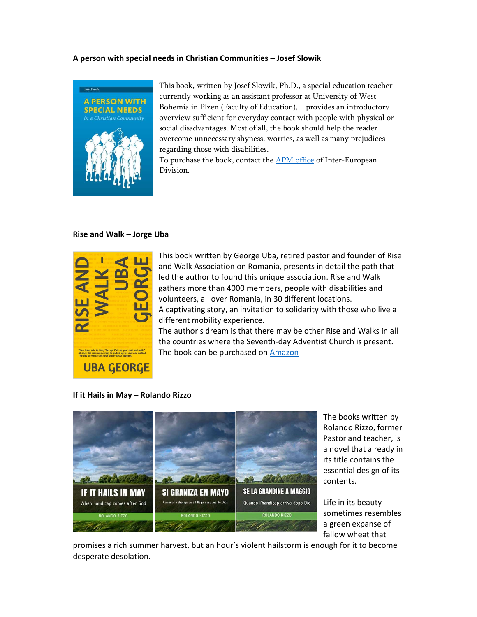## A person with special needs in Christian Communities – Josef Slowik



This book, written by Josef Slowik, Ph.D., a special education teacher currently working as an assistant professor at University of West Bohemia in Plzen (Faculty of Education), provides an introductory overview sufficient for everyday contact with people with physical or social disadvantages. Most of all, the book should help the reader overcome unnecessary shyness, worries, as well as many prejudices regarding those with disabilities.

To purchase the book, contact the APM office of Inter-European Division.

## Rise and Walk – Jorge Uba



This book written by George Uba, retired pastor and founder of Rise and Walk Association on Romania, presents in detail the path that led the author to found this unique association. Rise and Walk gathers more than 4000 members, people with disabilities and volunteers, all over Romania, in 30 different locations. A captivating story, an invitation to solidarity with those who live a different mobility experience.

The author's dream is that there may be other Rise and Walks in all the countries where the Seventh-day Adventist Church is present. The book can be purchased on Amazon

## If it Hails in May – Rolando Rizzo



The books written by Rolando Rizzo, former Pastor and teacher, is a novel that already in its title contains the essential design of its contents.

Life in its beauty sometimes resembles a green expanse of fallow wheat that

promises a rich summer harvest, but an hour's violent hailstorm is enough for it to become desperate desolation.